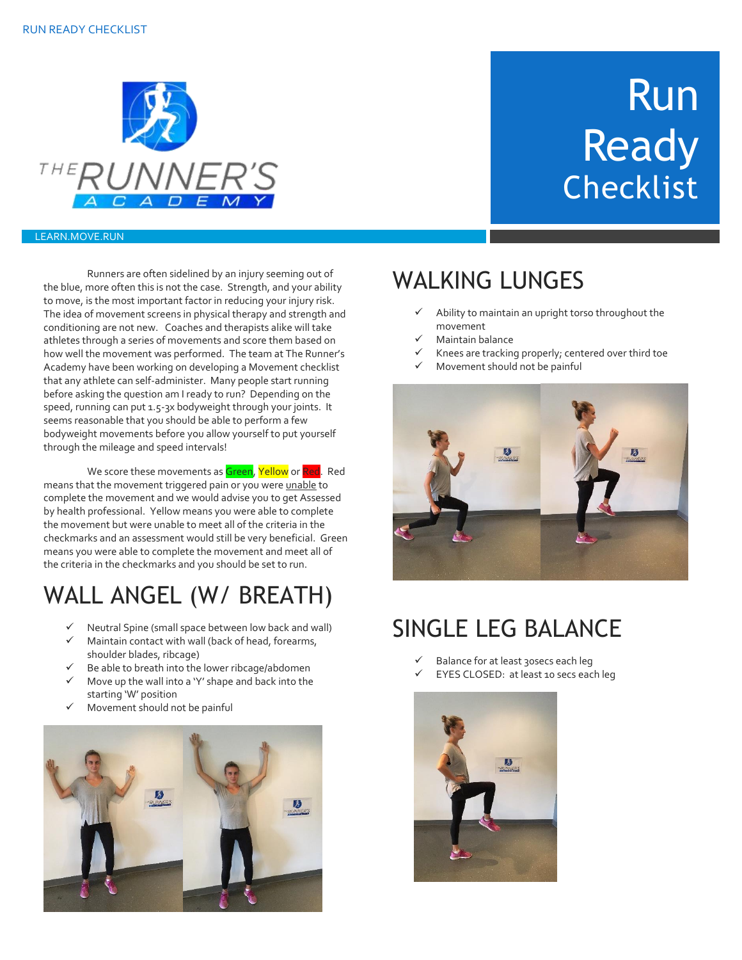

# **Ready Checklist**

Run

#### LEARN.MOVE.RUN

Runners are often sidelined by an injury seeming out of the blue, more often this is not the case. Strength, and your ability to move, is the most important factor in reducing your injury risk. The idea of movement screens in physical therapy and strength and conditioning are not new. Coaches and therapists alike will take athletes through a series of movements and score them based on how well the movement was performed. The team at The Runner's Academy have been working on developing a Movement checklist that any athlete can self-administer. Many people start running before asking the question am I ready to run? Depending on the speed, running can put 1.5-3x bodyweight through your joints. It seems reasonable that you should be able to perform a few bodyweight movements before you allow yourself to put yourself through the mileage and speed intervals!

We score these movements as Green, Yellow or Red. Red means that the movement triggered pain or you were unable to complete the movement and we would advise you to get Assessed by health professional. Yellow means you were able to complete the movement but were unable to meet all of the criteria in the checkmarks and an assessment would still be very beneficial. Green means you were able to complete the movement and meet all of the criteria in the checkmarks and you should be set to run.

### WALL ANGEL (W/ BREATH)

- Neutral Spine (small space between low back and wall)
- Maintain contact with wall (back of head, forearms, shoulder blades, ribcage)
- Be able to breath into the lower ribcage/abdomen
- Move up the wall into a 'Y' shape and back into the starting 'W' position
- Movement should not be painful



#### WALKING LUNGES

- Ability to maintain an upright torso throughout the movement
- Maintain balance
- Knees are tracking properly; centered over third toe
- Movement should not be painful



#### SINGLE LEG BALANCE

- Balance for at least 30secs each leg
- EYES CLOSED: at least 10 secs each leg

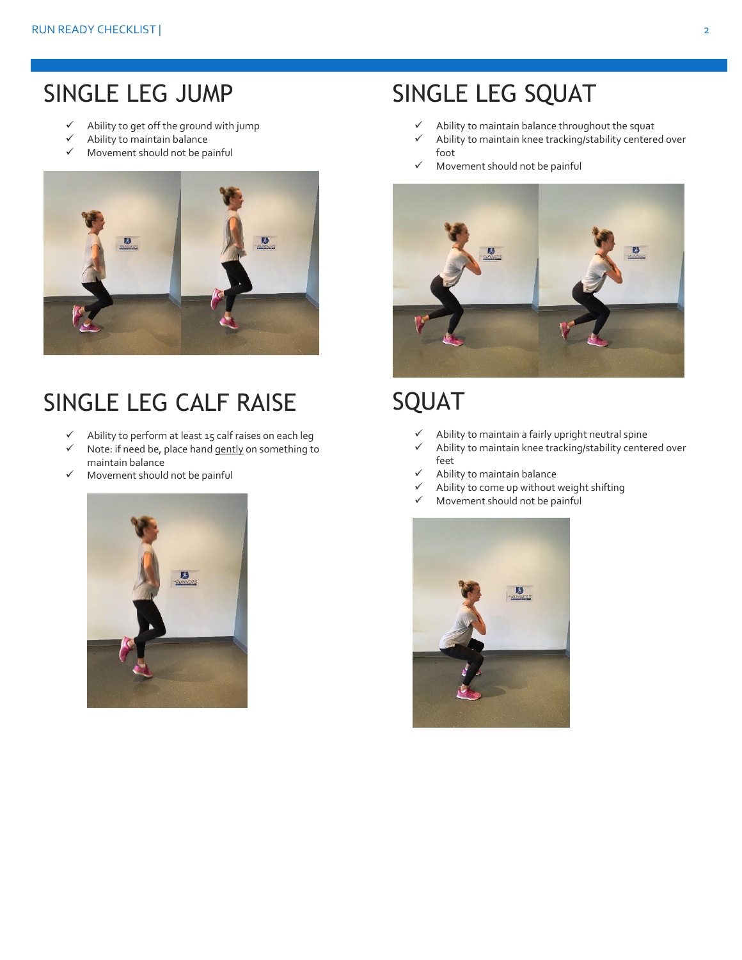#### SINGLE LEG JUMP

- $\checkmark$  Ability to get off the ground with jump
- $\checkmark$  Ability to maintain balance
- $\checkmark$  Movement should not be painful



#### SINGLE LEG CALF RAISE

- Ability to perform at least 15 calf raises on each leg
- $\checkmark$  Note: if need be, place hand gently on something to maintain balance
- $\checkmark$  Movement should not be painful



#### SINGLE LEG SQUAT

- $\checkmark$  Ability to maintain balance throughout the squat
- $\checkmark$  Ability to maintain knee tracking/stability centered over foot
- $\checkmark$  Movement should not be painful



#### SQUAT

- $\checkmark$  Ability to maintain a fairly upright neutral spine
- $\checkmark$  Ability to maintain knee tracking/stability centered over feet
- Ability to maintain balance
- Ability to come up without weight shifting
- Movement should not be painful

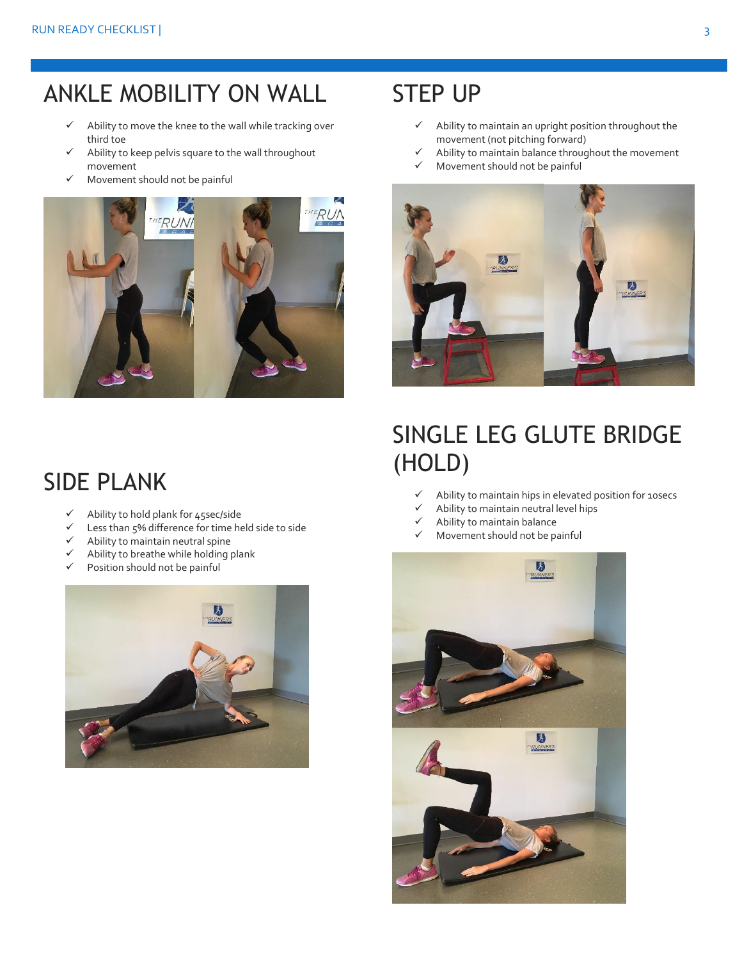#### ANKLE MOBILITY ON WALL

- $\checkmark$  Ability to move the knee to the wall while tracking over third toe
- $\checkmark$  Ability to keep pelvis square to the wall throughout movement
- $\checkmark$  Movement should not be painful



#### STEP UP

- $\checkmark$  Ability to maintain an upright position throughout the movement (not pitching forward)
- $\checkmark$  Ability to maintain balance throughout the movement
- $\checkmark$  Movement should not be painful



#### SINGLE LEG GLUTE BRIDGE (HOLD)

- $\checkmark$  Ability to maintain hips in elevated position for 10secs
- Ability to maintain neutral level hips
- Ability to maintain balance
- Movement should not be painful



#### SIDE PLANK

- Ability to hold plank for 45sec/side
- Less than 5% difference for time held side to side
- $\checkmark$  Ability to maintain neutral spine
- $\checkmark$  Ability to breathe while holding plank
- $\checkmark$  Position should not be painful